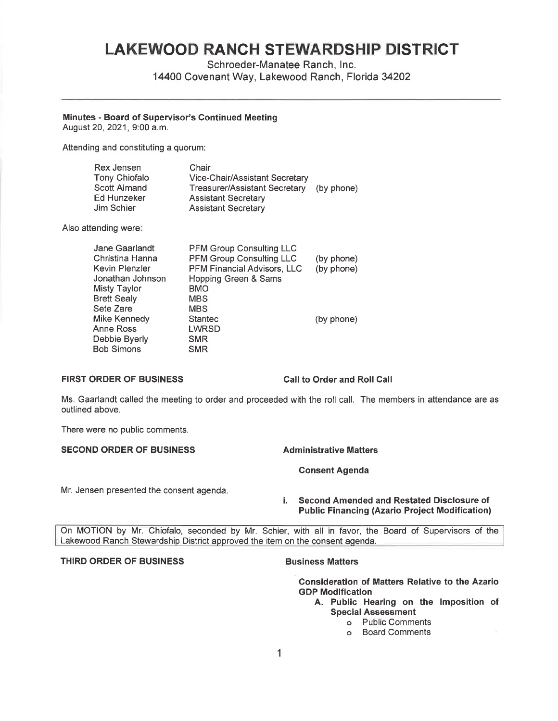# **LAKEWOOD RANCH STEWARDSHIP DISTRICT**

Schroeder-Manatee Ranch, Inc. 14400 Covenant Way, Lakewood Ranch, Florida 34202

**Minutes** - **Board of Supervisor's Continued Meeting** 

August 20, 2021, 9:00 a.m.

Attending and constituting a quorum:

| Rex Jensen    | Chair                          |            |
|---------------|--------------------------------|------------|
| Tony Chiofalo | Vice-Chair/Assistant Secretary |            |
| Scott Almand  | Treasurer/Assistant Secretary  | (by phone) |
| Ed Hunzeker   | <b>Assistant Secretary</b>     |            |
| Jim Schier    | <b>Assistant Secretary</b>     |            |

Also attending were:

| Jane Gaarlandt      | <b>PFM Group Consulting LLC</b> |            |
|---------------------|---------------------------------|------------|
| Christina Hanna     | <b>PFM Group Consulting LLC</b> | (by phone) |
| Kevin Plenzler      | PFM Financial Advisors, LLC     | (by phone) |
| Jonathan Johnson    | Hopping Green & Sams            |            |
| <b>Misty Taylor</b> | BMO                             |            |
| <b>Brett Sealy</b>  | <b>MBS</b>                      |            |
| Sete Zare           | <b>MBS</b>                      |            |
| Mike Kennedy        | <b>Stantec</b>                  | (by phone) |
| Anne Ross           | <b>LWRSD</b>                    |            |
| Debbie Byerly       | <b>SMR</b>                      |            |
| Bob Simons          | <b>SMR</b>                      |            |

# **FIRST ORDER OF BUSINESS Call to Order and Roll Call**

Ms. Gaarlandt called the meeting to order and proceeded with the roll call. The members in attendance are as outlined above.

There were no public comments.

**SECOND ORDER OF BUSINESS Administrative Matters** 

**Consent Agenda** 

Mr. Jensen presented the consent agenda.

# i. **Second Amended and Restated Disclosure of Public Financing (Azario Project Modification)**

On MOTION by Mr. Chiofalo, seconded by Mr. Schier, with all in favor, the Board of Supervisors of the Lakewood Ranch Stewardship District approved the item on the consent agenda.

# **THIRD ORDER OF BUSINESS CONSUMING BUSINESS BUSINESS Matters**

**Consideration of Matters Relative to the Azario GDP Modification** 

- **A. Public Hearing on the Imposition of Special Assessment** 
	- o Public Comments
	- o Board Comments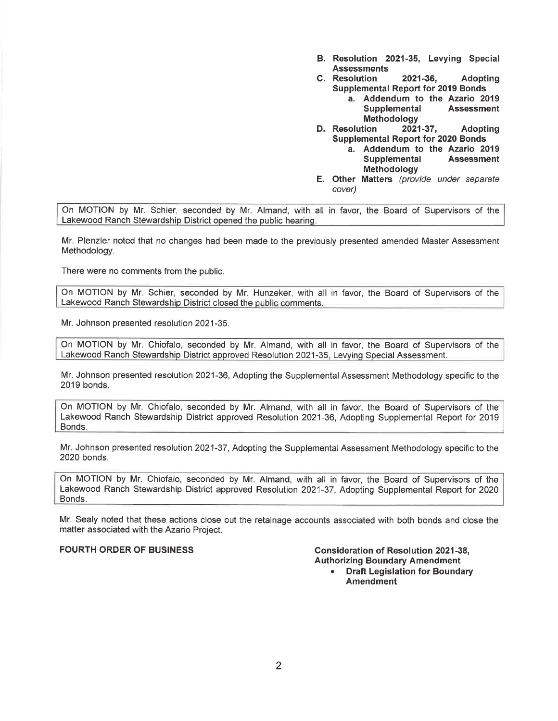- **B. Resolution 2021-35, Levying Special Assessments**
- **C. Resolution 2021-36, Adopting Supplemental Report for 2019 Bonds** 
	- **a. Addendum to the Azario 2019 Supplemental Assessment**
- **Methodology D. Resolution 2021-37, Adopting Supplemental Report for 2020 Bonds** 
	- **a. Addendum to the Azario 2019 Supplemental Assessment Methodology**
- **E. Other Matters** (provide under separate cover)

On MOTION by Mr. Schier, seconded by Mr. Almand, with all in favor, the Board of Supervisors of the Lakewood Ranch Stewardship District opened the public hearing.

Mr. Plenzler noted that no changes had been made to the previously presented amended Master Assessment Methodology.

There were no comments from the public.

On MOTION by Mr. Schier, seconded by Mr. Hunzeker, with all in favor, the Board of Supervisors of the Lakewood Ranch Stewardship District closed the public comments.

Mr. Johnson presented resolution 2021-35.

On MOTION by Mr. Chiofalo, seconded by Mr. Almand, with all in favor, the Board of Supervisors of the Lakewood Ranch Stewardship District approved Resolution 2021-35, Levying Special Assessment.

Mr. Johnson presented resolution 2021-36, Adopting the Supplemental Assessment Methodology specific to the 2019 bonds.

On MOTION by Mr. Chiofalo, seconded by Mr. Almand, with all in favor, the Board of Supervisors of the Lakewood Ranch Stewardship District approved Resolution 2021-36, Adopting Supplemental Report for 2019 Bonds.

Mr. Johnson presented resolution 2021-37, Adopting the Supplemental Assessment Methodology specific to the 2020 bonds.

On **MOTION** by Mr. Chiofalo, seconded by Mr. Almand, with all in favor, the Board of Supervisors of the Lakewood Ranch Stewardship District approved Resolution 2021-37, Adopting Supplemental Report for 2020 Bonds.

Mr. Sealy noted that these actions close out the retainage accounts associated with both bonds and close the matter associated with the Azario Project.

**FOURTH ORDER OF BUSINESS Consideration of Resolution 2021-38, Authorizing Boundary Amendment** 

• **Draft Legislation for Boundary Amendment**